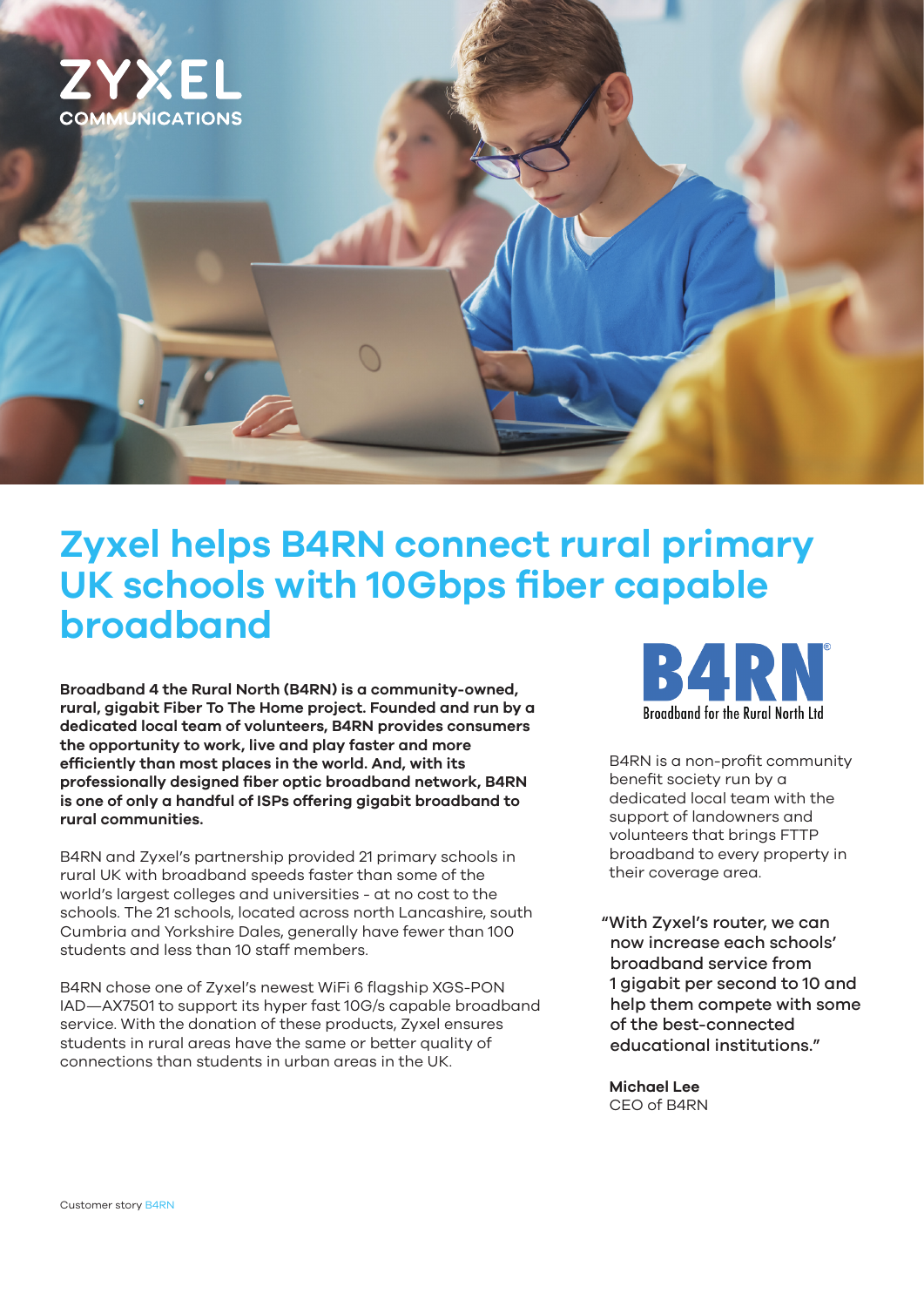

# **Zyxel helps B4RN connect rural primary UK schools with 10Gbps fiber capable broadband**

**Broadband 4 the Rural North (B4RN) is a community-owned, rural, gigabit Fiber To The Home project. Founded and run by a dedicated local team of volunteers, B4RN provides consumers the opportunity to work, live and play faster and more efficiently than most places in the world. And, with its professionally designed fiber optic broadband network, B4RN is one of only a handful of ISPs offering gigabit broadband to rural communities.**

B4RN and Zyxel's partnership provided 21 primary schools in rural UK with broadband speeds faster than some of the world's largest colleges and universities - at no cost to the schools. The 21 schools, located across north Lancashire, south Cumbria and Yorkshire Dales, generally have fewer than 100 students and less than 10 staff members.

B4RN chose one of Zyxel's newest WiFi 6 flagship XGS-PON IAD—AX7501 to support its hyper fast 10G/s capable broadband service. With the donation of these products, Zyxel ensures students in rural areas have the same or better quality of connections than students in urban areas in the UK.



B4RN is a non-profit community benefit society run by a dedicated local team with the support of landowners and volunteers that brings FTTP broadband to every property in their coverage area.

"With Zyxel's router, we can now increase each schools' broadband service from 1 gigabit per second to 10 and help them compete with some of the best-connected educational institutions."

**Michael Lee**  CEO of B4RN